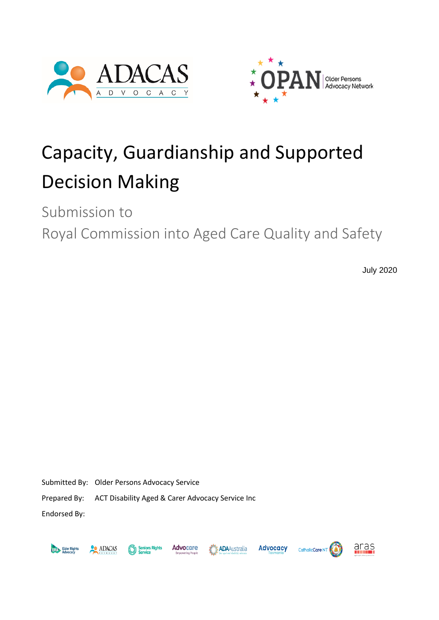



# Capacity, Guardianship and Supported Decision Making

Submission to

Royal Commission into Aged Care Quality and Safety

July 2020

Submitted By: Older Persons Advocacy Service

Prepared By: ACT Disability Aged & Carer Advocacy Service Inc

Endorsed By:



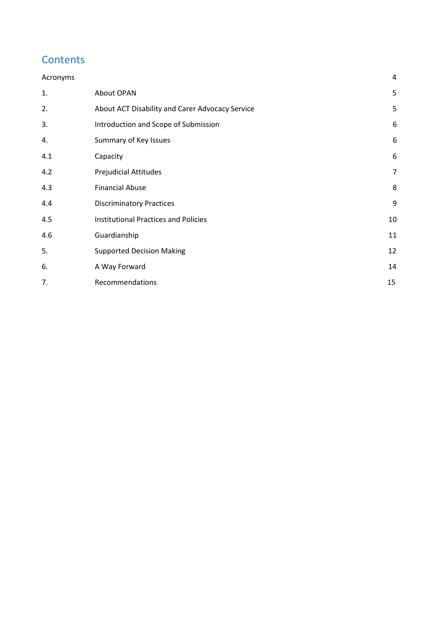# **Contents**

| Acronyms |                                                 | 4              |
|----------|-------------------------------------------------|----------------|
| 1.       | About OPAN                                      | 5              |
| 2.       | About ACT Disability and Carer Advocacy Service | 5              |
| 3.       | Introduction and Scope of Submission            | 6              |
| 4.       | Summary of Key Issues                           | 6              |
| 4.1      | Capacity                                        | 6              |
| 4.2      | <b>Prejudicial Attitudes</b>                    | $\overline{7}$ |
| 4.3      | <b>Financial Abuse</b>                          | 8              |
| 4.4      | <b>Discriminatory Practices</b>                 | 9              |
| 4.5      | <b>Institutional Practices and Policies</b>     | 10             |
| 4.6      | Guardianship                                    | 11             |
| 5.       | <b>Supported Decision Making</b>                | 12             |
| 6.       | A Way Forward                                   | 14             |
| 7.       | Recommendations                                 | 15             |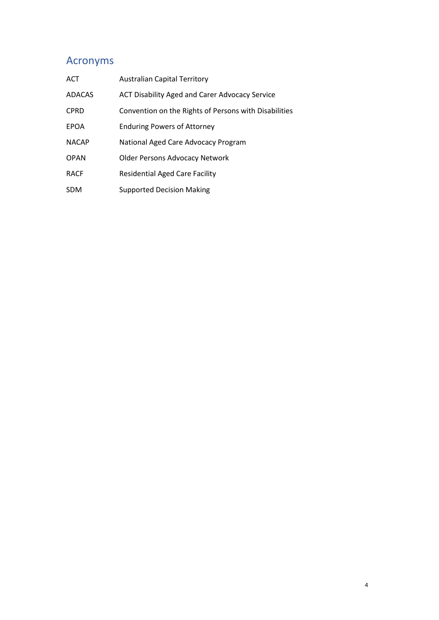# <span id="page-3-0"></span>Acronyms

| <b>ACT</b>    | <b>Australian Capital Territory</b>                   |
|---------------|-------------------------------------------------------|
| <b>ADACAS</b> | ACT Disability Aged and Carer Advocacy Service        |
| <b>CPRD</b>   | Convention on the Rights of Persons with Disabilities |
| <b>EPOA</b>   | <b>Enduring Powers of Attorney</b>                    |
| <b>NACAP</b>  | National Aged Care Advocacy Program                   |
| <b>OPAN</b>   | <b>Older Persons Advocacy Network</b>                 |
| <b>RACF</b>   | <b>Residential Aged Care Facility</b>                 |
| <b>SDM</b>    | <b>Supported Decision Making</b>                      |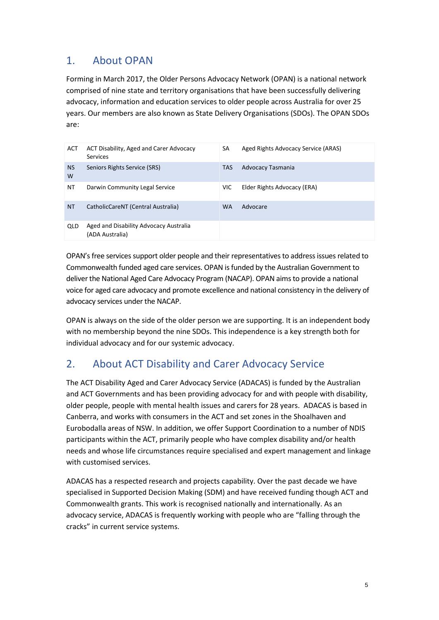# <span id="page-4-0"></span>1. About OPAN

Forming in March 2017, the Older Persons Advocacy Network (OPAN) is a national network comprised of nine state and territory organisations that have been successfully delivering advocacy, information and education services to older people across Australia for over 25 years. Our members are also known as State Delivery Organisations (SDOs). The OPAN SDOs are:

| <b>ACT</b>     | ACT Disability, Aged and Carer Advocacy<br><b>Services</b> | SA         | Aged Rights Advocacy Service (ARAS) |
|----------------|------------------------------------------------------------|------------|-------------------------------------|
| <b>NS</b><br>W | Seniors Rights Service (SRS)                               | <b>TAS</b> | Advocacy Tasmania                   |
| ΝT             | Darwin Community Legal Service                             | VIC.       | Elder Rights Advocacy (ERA)         |
| <b>NT</b>      | CatholicCareNT (Central Australia)                         | <b>WA</b>  | Advocare                            |
| QLD            | Aged and Disability Advocacy Australia<br>(ADA Australia)  |            |                                     |

OPAN's free services support older people and their representatives to address issues related to Commonwealth funded aged care services. OPAN is funded by the Australian Government to deliver the National Aged Care Advocacy Program (NACAP). OPAN aims to provide a national voice for aged care advocacy and promote excellence and national consistency in the delivery of advocacy services under the NACAP.

OPAN is always on the side of the older person we are supporting. It is an independent body with no membership beyond the nine SDOs. This independence is a key strength both for individual advocacy and for our systemic advocacy.

# <span id="page-4-1"></span>2. About ACT Disability and Carer Advocacy Service

The ACT Disability Aged and Carer Advocacy Service (ADACAS) is funded by the Australian and ACT Governments and has been providing advocacy for and with people with disability, older people, people with mental health issues and carers for 28 years. ADACAS is based in Canberra, and works with consumers in the ACT and set zones in the Shoalhaven and Eurobodalla areas of NSW. In addition, we offer Support Coordination to a number of NDIS participants within the ACT, primarily people who have complex disability and/or health needs and whose life circumstances require specialised and expert management and linkage with customised services.

ADACAS has a respected research and projects capability. Over the past decade we have specialised in Supported Decision Making (SDM) and have received funding though ACT and Commonwealth grants. This work is recognised nationally and internationally. As an advocacy service, ADACAS is frequently working with people who are "falling through the cracks" in current service systems.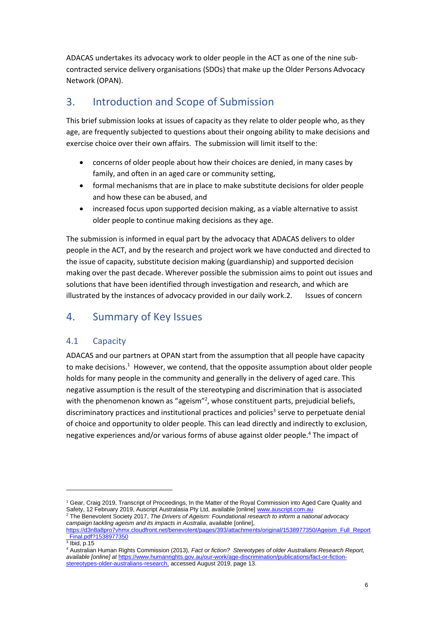ADACAS undertakes its advocacy work to older people in the ACT as one of the nine subcontracted service delivery organisations (SDOs) that make up the Older Persons Advocacy Network (OPAN).

# <span id="page-5-0"></span>3. Introduction and Scope of Submission

This brief submission looks at issues of capacity as they relate to older people who, as they age, are frequently subjected to questions about their ongoing ability to make decisions and exercise choice over their own affairs. The submission will limit itself to the:

- concerns of older people about how their choices are denied, in many cases by family, and often in an aged care or community setting,
- formal mechanisms that are in place to make substitute decisions for older people and how these can be abused, and
- increased focus upon supported decision making, as a viable alternative to assist older people to continue making decisions as they age.

The submission is informed in equal part by the advocacy that ADACAS delivers to older people in the ACT, and by the research and project work we have conducted and directed to the issue of capacity, substitute decision making (guardianship) and supported decision making over the past decade. Wherever possible the submission aims to point out issues and solutions that have been identified through investigation and research, and which are illustrated by the instances of advocacy provided in our daily work.2. Issues of concern

# <span id="page-5-1"></span>4. Summary of Key Issues

## <span id="page-5-2"></span>4.1 Capacity

ADACAS and our partners at OPAN start from the assumption that all people have capacity to make decisions.<sup>1</sup> However, we contend, that the opposite assumption about older people holds for many people in the community and generally in the delivery of aged care. This negative assumption is the result of the stereotyping and discrimination that is associated with the phenomenon known as "ageism"<sup>2</sup>, whose constituent parts, prejudicial beliefs, discriminatory practices and institutional practices and policies<sup>3</sup> serve to perpetuate denial of choice and opportunity to older people. This can lead directly and indirectly to exclusion, negative experiences and/or various forms of abuse against older people.<sup>4</sup> The impact of

<sup>1</sup> Gear, Craig 2019, Transcript of Proceedings, In the Matter of the Royal Commission into Aged Care Quality and Safety, 12 February 2019, Auscript Australasia Pty Ltd, available [online[\] www.auscript.com.au](http://www.auscript.com.au/) <sup>2</sup> The Benevolent Society 2017, *The Drivers of Ageism: Foundational research to inform a national advocacy* 

*campaign tackling ageism and its impacts in Australia*, available [online], [https://d3n8a8pro7vhmx.cloudfront.net/benevolent/pages/393/attachments/original/1538977350/Ageism\\_Full\\_Report](https://d3n8a8pro7vhmx.cloudfront.net/benevolent/pages/393/attachments/original/1538977350/Ageism_Full_Report_Final.pdf?1538977350) [\\_Final.pdf?1538977350](https://d3n8a8pro7vhmx.cloudfront.net/benevolent/pages/393/attachments/original/1538977350/Ageism_Full_Report_Final.pdf?1538977350)

 $^3$  Ibid, p.15

<sup>4</sup> Australian Human Rights Commission (2013), *Fact or fiction? Stereotypes of older Australians Research Report, available [online] at* [https://www.humanrights.gov.au/our-work/age-discrimination/publications/fact-or-fiction](https://www.humanrights.gov.au/our-work/age-discrimination/publications/fact-or-fiction-stereotypes-older-australians-research)[stereotypes-older-australians-research,](https://www.humanrights.gov.au/our-work/age-discrimination/publications/fact-or-fiction-stereotypes-older-australians-research) accessed August 2019, page 13.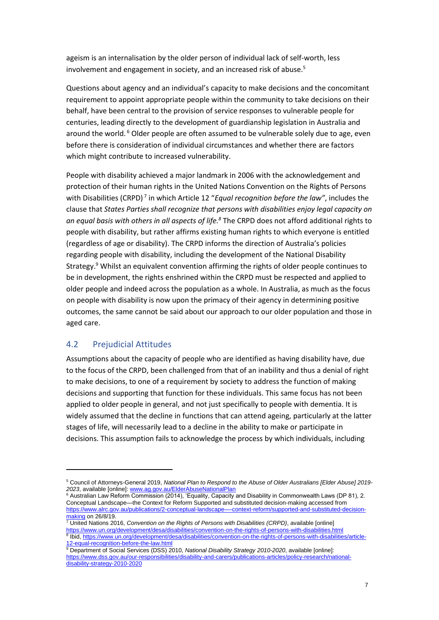ageism is an internalisation by the older person of individual lack of self-worth, less involvement and engagement in society, and an increased risk of abuse.<sup>5</sup>

Questions about agency and an individual's capacity to make decisions and the concomitant requirement to appoint appropriate people within the community to take decisions on their behalf, have been central to the provision of service responses to vulnerable people for centuries, leading directly to the development of guardianship legislation in Australia and around the world. <sup>6</sup> Older people are often assumed to be vulnerable solely due to age, even before there is consideration of individual circumstances and whether there are factors which might contribute to increased vulnerability.

People with disability achieved a major landmark in 2006 with the acknowledgement and protection of their human rights in the United Nations Convention on the Rights of Persons with Disabilities (CRPD)<sup>7</sup> in which Article 12 "*Equal recognition before the law"*, includes the clause that *States Parties shall recognize that persons with disabilities enjoy legal capacity on an equal basis with others in all aspects of life.<sup>8</sup>* The CRPD does not afford additional rights to people with disability, but rather affirms existing human rights to which everyone is entitled (regardless of age or disability). The CRPD informs the direction of Australia's policies regarding people with disability, including the development of the National Disability Strategy.<sup>9</sup> Whilst an equivalent convention affirming the rights of older people continues to be in development, the rights enshrined within the CRPD must be respected and applied to older people and indeed across the population as a whole. In Australia, as much as the focus on people with disability is now upon the primacy of their agency in determining positive outcomes, the same cannot be said about our approach to our older population and those in aged care.

## <span id="page-6-0"></span>4.2 Prejudicial Attitudes

Assumptions about the capacity of people who are identified as having disability have, due to the focus of the CRPD, been challenged from that of an inability and thus a denial of right to make decisions, to one of a requirement by society to address the function of making decisions and supporting that function for these individuals. This same focus has not been applied to older people in general, and not just specifically to people with dementia. It is widely assumed that the decline in functions that can attend ageing, particularly at the latter stages of life, will necessarily lead to a decline in the ability to make or participate in decisions. This assumption fails to acknowledge the process by which individuals, including

<sup>5</sup> Council of Attorneys-General 2019, *National Plan to Respond to the Abuse of Older Australians [Elder Abuse] 2019- 2023*, available [online][: www.ag.gov.au/ElderAbuseNationalPlan](http://www.ag.gov.au/ElderAbuseNationalPlan)

<sup>6</sup> Australian Law Reform Commission (2014), 'Equality, Capacity and Disability in Commonwealth Laws (DP 81), 2. Conceptual Landscape—the Context for Reform Supported and substituted decision-making accessed from [https://www.alrc.gov.au/publications/2-conceptual-landscape—-context-reform/supported-and-substituted-decision](https://www.alrc.gov.au/publications/2-conceptual-landscape—-context-reform/supported-and-substituted-decision-making)[making](https://www.alrc.gov.au/publications/2-conceptual-landscape—-context-reform/supported-and-substituted-decision-making) on 26/8/19.

<sup>7</sup> United Nations 2016, *Convention on the Rights of Persons with Disabilities (CRPD)*, available [online] <https://www.un.org/development/desa/disabilities/convention-on-the-rights-of-persons-with-disabilities.html> 8 Ibid[, https://www.un.org/development/desa/disabilities/convention-on-the-rights-of-persons-with-disabilities/article-](https://www.un.org/development/desa/disabilities/convention-on-the-rights-of-persons-with-disabilities/article-12-equal-recognition-before-the-law.html)[12-equal-recognition-before-the-law.html](https://www.un.org/development/desa/disabilities/convention-on-the-rights-of-persons-with-disabilities/article-12-equal-recognition-before-the-law.html)

<sup>9</sup> Department of Social Services (DSS) 2010, *National Disability Strategy 2010-2020*, available [online]: [https://www.dss.gov.au/our-responsibilities/disability-and-carers/publications-articles/policy-research/national](https://www.dss.gov.au/our-responsibilities/disability-and-carers/publications-articles/policy-research/national-disability-strategy-2010-2020)[disability-strategy-2010-2020](https://www.dss.gov.au/our-responsibilities/disability-and-carers/publications-articles/policy-research/national-disability-strategy-2010-2020)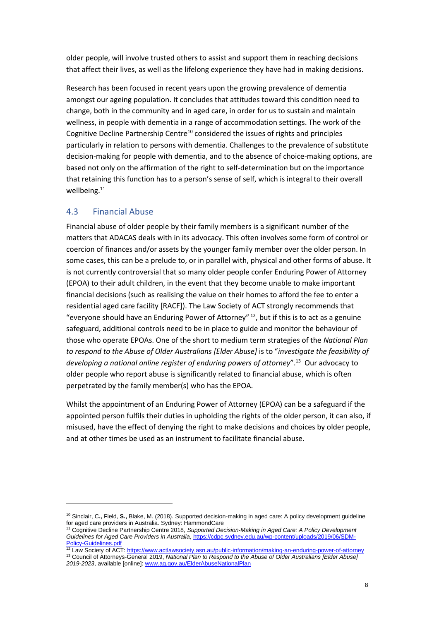older people, will involve trusted others to assist and support them in reaching decisions that affect their lives, as well as the lifelong experience they have had in making decisions.

Research has been focused in recent years upon the growing prevalence of dementia amongst our ageing population. It concludes that attitudes toward this condition need to change, both in the community and in aged care, in order for us to sustain and maintain wellness, in people with dementia in a range of accommodation settings. The work of the Cognitive Decline Partnership Centre<sup>10</sup> considered the issues of rights and principles particularly in relation to persons with dementia. Challenges to the prevalence of substitute decision-making for people with dementia, and to the absence of choice-making options, are based not only on the affirmation of the right to self-determination but on the importance that retaining this function has to a person's sense of self, which is integral to their overall wellbeing.<sup>11</sup>

## <span id="page-7-0"></span>4.3 Financial Abuse

Financial abuse of older people by their family members is a significant number of the matters that ADACAS deals with in its advocacy. This often involves some form of control or coercion of finances and/or assets by the younger family member over the older person. In some cases, this can be a prelude to, or in parallel with, physical and other forms of abuse. It is not currently controversial that so many older people confer Enduring Power of Attorney (EPOA) to their adult children, in the event that they become unable to make important financial decisions (such as realising the value on their homes to afford the fee to enter a residential aged care facility [RACF]). The Law Society of ACT strongly recommends that "everyone should have an Enduring Power of Attorney"  $12$ , but if this is to act as a genuine safeguard, additional controls need to be in place to guide and monitor the behaviour of those who operate EPOAs. One of the short to medium term strategies of the *National Plan to respond to the Abuse of Older Australians [Elder Abuse]* is to "*investigate the feasibility of developing a national online register of enduring powers of attorney*".<sup>13</sup> Our advocacy to older people who report abuse is significantly related to financial abuse, which is often perpetrated by the family member(s) who has the EPOA.

Whilst the appointment of an Enduring Power of Attorney (EPOA) can be a safeguard if the appointed person fulfils their duties in upholding the rights of the older person, it can also, if misused, have the effect of denying the right to make decisions and choices by older people, and at other times be used as an instrument to facilitate financial abuse.

<sup>10</sup> Sinclair, C**.,** Field, **S.,** Blake, M. (2018). Supported decision-making in aged care: A policy development guideline for aged care providers in Australia. Sydney: HammondCare

<sup>11</sup> Cognitive Decline Partnership Centre 2018, *Supported Decision-Making in Aged Care: A Policy Development Guidelines for Aged Care Providers in Australia*, [https://cdpc.sydney.edu.au/wp-content/uploads/2019/06/SDM-](https://cdpc.sydney.edu.au/wp-content/uploads/2019/06/SDM-Policy-Guidelines.pdf)[Policy-Guidelines.pdf](https://cdpc.sydney.edu.au/wp-content/uploads/2019/06/SDM-Policy-Guidelines.pdf)

<sup>&</sup>lt;sup>12</sup> Law Society of ACT[: https://www.actlawsociety.asn.au/public-information/making-an-enduring-power-of-attorney](https://www.actlawsociety.asn.au/public-information/making-an-enduring-power-of-attorney) <sup>13</sup> Council of Attorneys-General 2019, *National Plan to Respond to the Abuse of Older Australians [Elder Abuse] 2019-2023*, available [online][: www.ag.gov.au/ElderAbuseNationalPlan](http://www.ag.gov.au/ElderAbuseNationalPlan)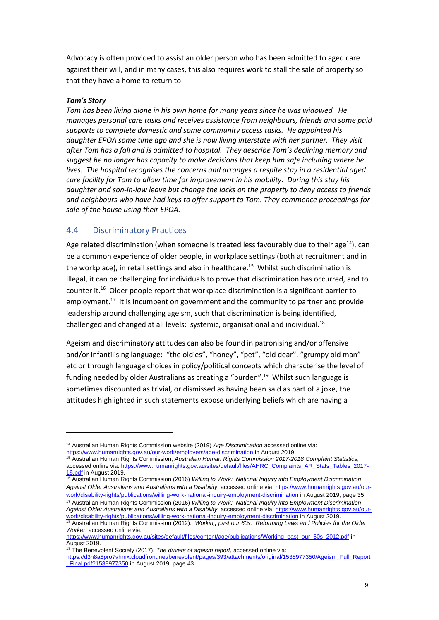Advocacy is often provided to assist an older person who has been admitted to aged care against their will, and in many cases, this also requires work to stall the sale of property so that they have a home to return to.

#### *Tom's Story*

*Tom has been living alone in his own home for many years since he was widowed. He manages personal care tasks and receives assistance from neighbours, friends and some paid supports to complete domestic and some community access tasks. He appointed his daughter EPOA some time ago and she is now living interstate with her partner. They visit after Tom has a fall and is admitted to hospital. They describe Tom's declining memory and suggest he no longer has capacity to make decisions that keep him safe including where he lives. The hospital recognises the concerns and arranges a respite stay in a residential aged care facility for Tom to allow time for improvement in his mobility. During this stay his daughter and son-in-law leave but change the locks on the property to deny access to friends and neighbours who have had keys to offer support to Tom. They commence proceedings for sale of the house using their EPOA.*

#### <span id="page-8-0"></span>4.4 Discriminatory Practices

Age related discrimination (when someone is treated less favourably due to their age<sup>14</sup>), can be a common experience of older people, in workplace settings (both at recruitment and in the workplace), in retail settings and also in healthcare.<sup>15</sup> Whilst such discrimination is illegal, it can be challenging for individuals to prove that discrimination has occurred, and to counter it.<sup>16</sup> Older people report that workplace discrimination is a significant barrier to employment.<sup>17</sup> It is incumbent on government and the community to partner and provide leadership around challenging ageism, such that discrimination is being identified, challenged and changed at all levels: systemic, organisational and individual.<sup>18</sup>

Ageism and discriminatory attitudes can also be found in patronising and/or offensive and/or infantilising language: "the oldies", "honey", "pet", "old dear", "grumpy old man" etc or through language choices in policy/political concepts which characterise the level of funding needed by older Australians as creating a "burden".<sup>19</sup> Whilst such language is sometimes discounted as trivial, or dismissed as having been said as part of a joke, the attitudes highlighted in such statements expose underlying beliefs which are having a

<sup>16</sup> Australian Human Rights Commission (2016) *Willing to Work: National Inquiry into Employment Discrimination Against Older Australians and Australians with a Disability*, accessed online via[: https://www.humanrights.gov.au/our](https://www.humanrights.gov.au/our-work/disability-rights/publications/willing-work-national-inquiry-employment-discrimination)[work/disability-rights/publications/willing-work-national-inquiry-employment-discrimination](https://www.humanrights.gov.au/our-work/disability-rights/publications/willing-work-national-inquiry-employment-discrimination) in August 2019, page 35.

<sup>14</sup> Australian Human Rights Commission website (2019) *Age Discrimination* accessed online via: <https://www.humanrights.gov.au/our-work/employers/age-discrimination> in August 2019

<sup>15</sup> Australian Human Rights Commission, *Australian Human Rights Commission 2017-2018 Complaint Statistics*, accessed online via: [https://www.humanrights.gov.au/sites/default/files/AHRC\\_Complaints\\_AR\\_Stats\\_Tables\\_2017-](https://www.humanrights.gov.au/sites/default/files/AHRC_Complaints_AR_Stats_Tables_2017-18.pdf) [18.pdf](https://www.humanrights.gov.au/sites/default/files/AHRC_Complaints_AR_Stats_Tables_2017-18.pdf) in August 2019.

<sup>17</sup> Australian Human Rights Commission (2016) *Willing to Work: National Inquiry into Employment Discrimination Against Older Australians and Australians with a Disability*, accessed online via[: https://www.humanrights.gov.au/our](https://www.humanrights.gov.au/our-work/disability-rights/publications/willing-work-national-inquiry-employment-discrimination)[work/disability-rights/publications/willing-work-national-inquiry-employment-discrimination](https://www.humanrights.gov.au/our-work/disability-rights/publications/willing-work-national-inquiry-employment-discrimination) in August 2019.

<sup>&</sup>lt;sup>18</sup> Australian Human Rights Commission (2012): *Working past our 60s: Reforming Laws and Policies for the Older Worker*, accessed online via:

[https://www.humanrights.gov.au/sites/default/files/content/age/publications/Working\\_past\\_our\\_60s\\_2012.pdf](https://www.humanrights.gov.au/sites/default/files/content/age/publications/Working_past_our_60s_2012.pdf) in August 2019.

<sup>19</sup> The Benevolent Society (2017), *The drivers of ageism report*, accessed online via:

[https://d3n8a8pro7vhmx.cloudfront.net/benevolent/pages/393/attachments/original/1538977350/Ageism\\_Full\\_Report](https://d3n8a8pro7vhmx.cloudfront.net/benevolent/pages/393/attachments/original/1538977350/Ageism_Full_Report_Final.pdf?1538977350) Final.pdf?1538977350 in August 2019, page 43.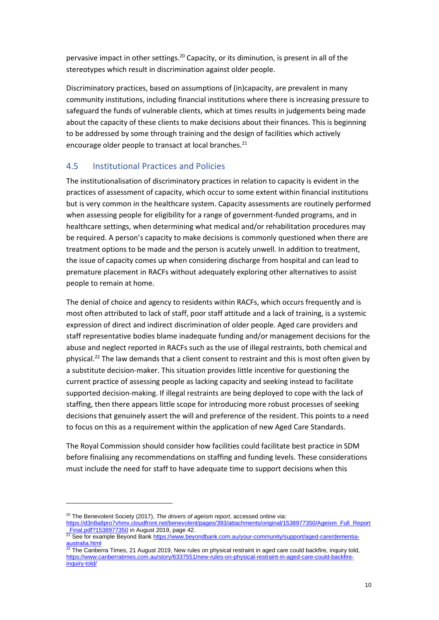pervasive impact in other settings.<sup>20</sup> Capacity, or its diminution, is present in all of the stereotypes which result in discrimination against older people.

Discriminatory practices, based on assumptions of (in)capacity, are prevalent in many community institutions, including financial institutions where there is increasing pressure to safeguard the funds of vulnerable clients, which at times results in judgements being made about the capacity of these clients to make decisions about their finances. This is beginning to be addressed by some through training and the design of facilities which actively encourage older people to transact at local branches. $^{21}$ 

## <span id="page-9-0"></span>4.5 Institutional Practices and Policies

The institutionalisation of discriminatory practices in relation to capacity is evident in the practices of assessment of capacity, which occur to some extent within financial institutions but is very common in the healthcare system. Capacity assessments are routinely performed when assessing people for eligibility for a range of government-funded programs, and in healthcare settings, when determining what medical and/or rehabilitation procedures may be required. A person's capacity to make decisions is commonly questioned when there are treatment options to be made and the person is acutely unwell. In addition to treatment, the issue of capacity comes up when considering discharge from hospital and can lead to premature placement in RACFs without adequately exploring other alternatives to assist people to remain at home.

The denial of choice and agency to residents within RACFs, which occurs frequently and is most often attributed to lack of staff, poor staff attitude and a lack of training, is a systemic expression of direct and indirect discrimination of older people. Aged care providers and staff representative bodies blame inadequate funding and/or management decisions for the abuse and neglect reported in RACFs such as the use of illegal restraints, both chemical and physical.<sup>22</sup> The law demands that a client consent to restraint and this is most often given by a substitute decision-maker. This situation provides little incentive for questioning the current practice of assessing people as lacking capacity and seeking instead to facilitate supported decision-making. If illegal restraints are being deployed to cope with the lack of staffing, then there appears little scope for introducing more robust processes of seeking decisions that genuinely assert the will and preference of the resident. This points to a need to focus on this as a requirement within the application of new Aged Care Standards.

The Royal Commission should consider how facilities could facilitate best practice in SDM before finalising any recommendations on staffing and funding levels. These considerations must include the need for staff to have adequate time to support decisions when this

<sup>20</sup> The Benevolent Society (2017), *The drivers of ageism report*, accessed online via:

[https://d3n8a8pro7vhmx.cloudfront.net/benevolent/pages/393/attachments/original/1538977350/Ageism\\_Full\\_Report](https://d3n8a8pro7vhmx.cloudfront.net/benevolent/pages/393/attachments/original/1538977350/Ageism_Full_Report_Final.pdf?1538977350) [\\_Final.pdf?1538977350](https://d3n8a8pro7vhmx.cloudfront.net/benevolent/pages/393/attachments/original/1538977350/Ageism_Full_Report_Final.pdf?1538977350) in August 2019, page 42.

<sup>21</sup> See for example Beyond Bank [https://www.beyondbank.com.au/your-community/support/aged-care/dementia-](https://www.beyondbank.com.au/your-community/support/aged-care/dementia-australia.html) $\frac{2.25}{22.7}$  ior exa

<sup>22</sup> The Canberra Times, 21 August 2019, New rules on physical restraint in aged care could backfire, inquiry told, [https://www.canberratimes.com.au/story/6337551/new-rules-on-physical-restraint-in-aged-care-could-backfire](https://www.canberratimes.com.au/story/6337551/new-rules-on-physical-restraint-in-aged-care-could-backfire-inquiry-told/)[inquiry-told/](https://www.canberratimes.com.au/story/6337551/new-rules-on-physical-restraint-in-aged-care-could-backfire-inquiry-told/)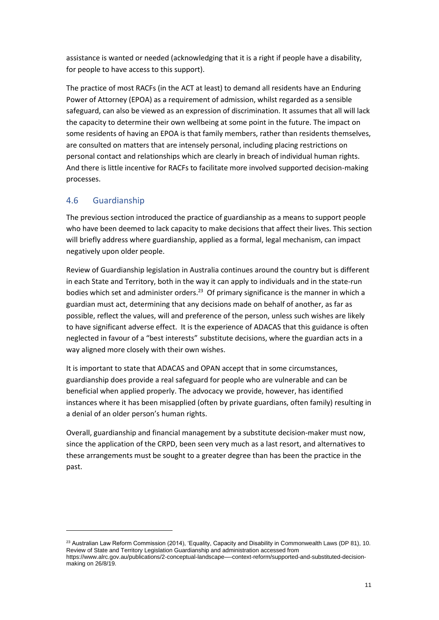assistance is wanted or needed (acknowledging that it is a right if people have a disability, for people to have access to this support).

The practice of most RACFs (in the ACT at least) to demand all residents have an Enduring Power of Attorney (EPOA) as a requirement of admission, whilst regarded as a sensible safeguard, can also be viewed as an expression of discrimination. It assumes that all will lack the capacity to determine their own wellbeing at some point in the future. The impact on some residents of having an EPOA is that family members, rather than residents themselves, are consulted on matters that are intensely personal, including placing restrictions on personal contact and relationships which are clearly in breach of individual human rights. And there is little incentive for RACFs to facilitate more involved supported decision-making processes.

## <span id="page-10-0"></span>4.6 Guardianship

The previous section introduced the practice of guardianship as a means to support people who have been deemed to lack capacity to make decisions that affect their lives. This section will briefly address where guardianship, applied as a formal, legal mechanism, can impact negatively upon older people.

Review of Guardianship legislation in Australia continues around the country but is different in each State and Territory, both in the way it can apply to individuals and in the state-run bodies which set and administer orders.<sup>23</sup> Of primary significance is the manner in which a guardian must act, determining that any decisions made on behalf of another, as far as possible, reflect the values, will and preference of the person, unless such wishes are likely to have significant adverse effect. It is the experience of ADACAS that this guidance is often neglected in favour of a "best interests" substitute decisions, where the guardian acts in a way aligned more closely with their own wishes.

It is important to state that ADACAS and OPAN accept that in some circumstances, guardianship does provide a real safeguard for people who are vulnerable and can be beneficial when applied properly. The advocacy we provide, however, has identified instances where it has been misapplied (often by private guardians, often family) resulting in a denial of an older person's human rights.

Overall, guardianship and financial management by a substitute decision-maker must now, since the application of the CRPD, been seen very much as a last resort, and alternatives to these arrangements must be sought to a greater degree than has been the practice in the past.

 $23$  Australian Law Reform Commission (2014), 'Equality, Capacity and Disability in Commonwealth Laws (DP 81), 10. Review of State and Territory Legislation Guardianship and administration accessed from

https://www.alrc.gov.au/publications/2-conceptual-landscape—-context-reform/supported-and-substituted-decisionmaking on 26/8/19.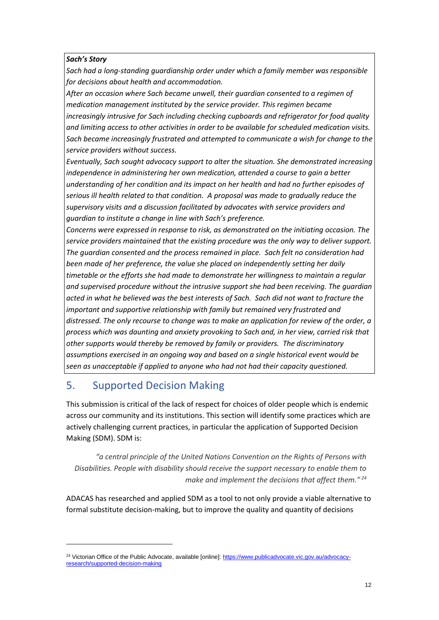#### *Sach's Story*

*Sach had a long-standing guardianship order under which a family member was responsible for decisions about health and accommodation.* 

*After an occasion where Sach became unwell, their guardian consented to a regimen of medication management instituted by the service provider. This regimen became increasingly intrusive for Sach including checking cupboards and refrigerator for food quality and limiting access to other activities in order to be available for scheduled medication visits. Sach became increasingly frustrated and attempted to communicate a wish for change to the service providers without success.* 

*Eventually, Sach sought advocacy support to alter the situation. She demonstrated increasing independence in administering her own medication, attended a course to gain a better understanding of her condition and its impact on her health and had no further episodes of serious ill health related to that condition. A proposal was made to gradually reduce the supervisory visits and a discussion facilitated by advocates with service providers and guardian to institute a change in line with Sach's preference.* 

*Concerns were expressed in response to risk, as demonstrated on the initiating occasion. The service providers maintained that the existing procedure was the only way to deliver support. The guardian consented and the process remained in place. Sach felt no consideration had been made of her preference, the value she placed on independently setting her daily timetable or the efforts she had made to demonstrate her willingness to maintain a regular and supervised procedure without the intrusive support she had been receiving. The guardian acted in what he believed was the best interests of Sach. Sach did not want to fracture the important and supportive relationship with family but remained very frustrated and distressed. The only recourse to change was to make an application for review of the order, a process which was daunting and anxiety provoking to Sach and, in her view, carried risk that other supports would thereby be removed by family or providers. The discriminatory assumptions exercised in an ongoing way and based on a single historical event would be seen as unacceptable if applied to anyone who had not had their capacity questioned.*

## <span id="page-11-0"></span>5. Supported Decision Making

This submission is critical of the lack of respect for choices of older people which is endemic across our community and its institutions. This section will identify some practices which are actively challenging current practices, in particular the application of Supported Decision Making (SDM). SDM is:

*"a central principle of the United Nations Convention on the Rights of Persons with Disabilities. People with disability should receive the support necessary to enable them to make and implement the decisions that affect them." <sup>24</sup>*

ADACAS has researched and applied SDM as a tool to not only provide a viable alternative to formal substitute decision-making, but to improve the quality and quantity of decisions

<sup>&</sup>lt;sup>24</sup> Victorian Office of the Public Advocate, available [online]: [https://www.publicadvocate.vic.gov.au/advocacy](https://www.publicadvocate.vic.gov.au/advocacy-research/supported-decision-making)[research/supported-decision-making](https://www.publicadvocate.vic.gov.au/advocacy-research/supported-decision-making)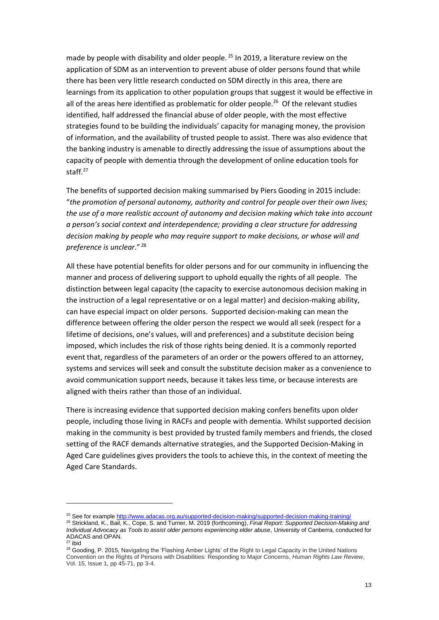made by people with disability and older people.<sup>25</sup> In 2019, a literature review on the application of SDM as an intervention to prevent abuse of older persons found that while there has been very little research conducted on SDM directly in this area, there are learnings from its application to other population groups that suggest it would be effective in all of the areas here identified as problematic for older people.<sup>26</sup> Of the relevant studies identified, half addressed the financial abuse of older people, with the most effective strategies found to be building the individuals' capacity for managing money, the provision of information, and the availability of trusted people to assist. There was also evidence that the banking industry is amenable to directly addressing the issue of assumptions about the capacity of people with dementia through the development of online education tools for staff.<sup>27</sup>

The benefits of supported decision making summarised by Piers Gooding in 2015 include: "*the promotion of personal autonomy, authority and control for people over their own lives; the use of a more realistic account of autonomy and decision making which take into account a person's social context and interdependence; providing a clear structure for addressing decision making by people who may require support to make decisions, or whose will and preference is unclear*." 28

All these have potential benefits for older persons and for our community in influencing the manner and process of delivering support to uphold equally the rights of all people. The distinction between legal capacity (the capacity to exercise autonomous decision making in the instruction of a legal representative or on a legal matter) and decision-making ability, can have especial impact on older persons. Supported decision-making can mean the difference between offering the older person the respect we would all seek (respect for a lifetime of decisions, one's values, will and preferences) and a substitute decision being imposed, which includes the risk of those rights being denied. It is a commonly reported event that, regardless of the parameters of an order or the powers offered to an attorney, systems and services will seek and consult the substitute decision maker as a convenience to avoid communication support needs, because it takes less time, or because interests are aligned with theirs rather than those of an individual.

There is increasing evidence that supported decision making confers benefits upon older people, including those living in RACFs and people with dementia. Whilst supported decision making in the community is best provided by trusted family members and friends, the closed setting of the RACF demands alternative strategies, and the Supported Decision-Making in Aged Care guidelines gives providers the tools to achieve this, in the context of meeting the Aged Care Standards.

<sup>&</sup>lt;sup>25</sup> See for exampl[e http://www.adacas.org.au/supported-decision-making/supported-decision-making-training/](http://www.adacas.org.au/supported-decision-making/supported-decision-making-training/)

<sup>26</sup> Strickland, K., Bail, K., Cope, S. and Turner, M. 2019 (forthcoming), *Final Report: Supported Decision-Making and Individual Advocacy as Tools to assist older persons experiencing elder abuse*, University of Canberra, conducted for ADACAS and OPAN.

<sup>27</sup> ibid

<sup>&</sup>lt;sup>28</sup> Gooding, P. 2015, Navigating the 'Flashing Amber Lights' of the Right to Legal Capacity in the United Nations Convention on the Rights of Persons with Disabilities: Responding to Major Concerns, *Human Rights Law Review*, Vol. 15, Issue 1, pp 45-71, pp 3-4.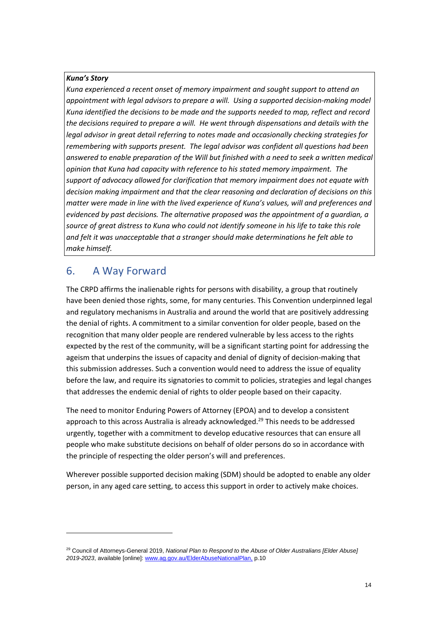#### *Kuna's Story*

*Kuna experienced a recent onset of memory impairment and sought support to attend an appointment with legal advisors to prepare a will. Using a supported decision-making model Kuna identified the decisions to be made and the supports needed to map, reflect and record the decisions required to prepare a will. He went through dispensations and details with the legal advisor in great detail referring to notes made and occasionally checking strategies for remembering with supports present. The legal advisor was confident all questions had been answered to enable preparation of the Will but finished with a need to seek a written medical opinion that Kuna had capacity with reference to his stated memory impairment. The support of advocacy allowed for clarification that memory impairment does not equate with decision making impairment and that the clear reasoning and declaration of decisions on this matter were made in line with the lived experience of Kuna's values, will and preferences and evidenced by past decisions. The alternative proposed was the appointment of a guardian, a source of great distress to Kuna who could not identify someone in his life to take this role and felt it was unacceptable that a stranger should make determinations he felt able to make himself.*

## <span id="page-13-0"></span>6. A Way Forward

The CRPD affirms the inalienable rights for persons with disability, a group that routinely have been denied those rights, some, for many centuries. This Convention underpinned legal and regulatory mechanisms in Australia and around the world that are positively addressing the denial of rights. A commitment to a similar convention for older people, based on the recognition that many older people are rendered vulnerable by less access to the rights expected by the rest of the community, will be a significant starting point for addressing the ageism that underpins the issues of capacity and denial of dignity of decision-making that this submission addresses. Such a convention would need to address the issue of equality before the law, and require its signatories to commit to policies, strategies and legal changes that addresses the endemic denial of rights to older people based on their capacity.

The need to monitor Enduring Powers of Attorney (EPOA) and to develop a consistent approach to this across Australia is already acknowledged.<sup>29</sup> This needs to be addressed urgently, together with a commitment to develop educative resources that can ensure all people who make substitute decisions on behalf of older persons do so in accordance with the principle of respecting the older person's will and preferences.

Wherever possible supported decision making (SDM) should be adopted to enable any older person, in any aged care setting, to access this support in order to actively make choices.

<sup>29</sup> Council of Attorneys-General 2019, *National Plan to Respond to the Abuse of Older Australians [Elder Abuse] 2019-2023*, available [online][: www.ag.gov.au/ElderAbuseNationalPlan,](http://www.ag.gov.au/ElderAbuseNationalPlan) p.10